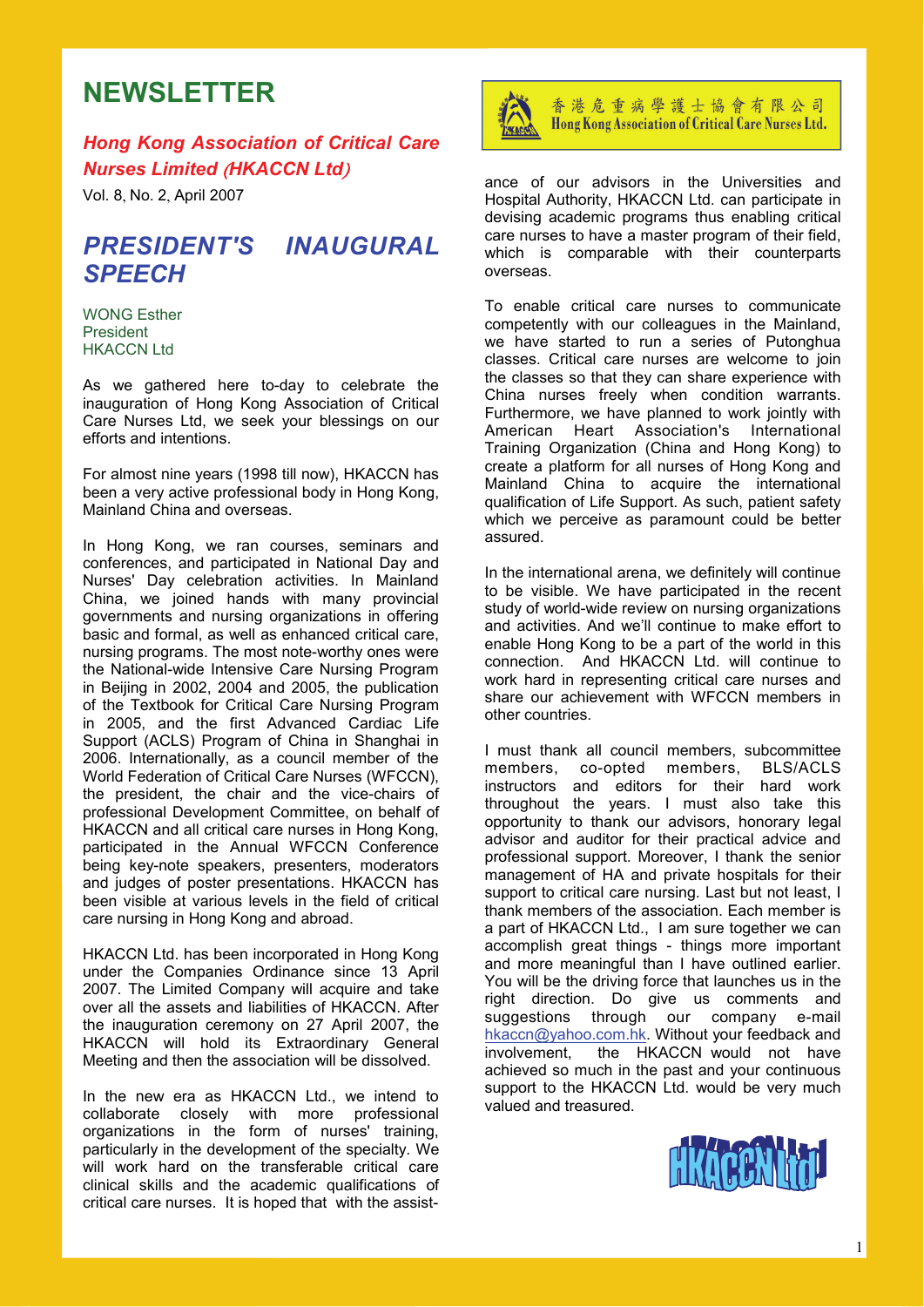# **NEWSLETTER**

*Hong Kong Association of Critical Care Nurses Limited* (*HKACCN Ltd*)

Vol. 8, No. 2, April 2007

## *PRESIDENT'S INAUGURAL SPEECH*

WONG Esther President HKACCN Ltd

As we gathered here to-day to celebrate the inauguration of Hong Kong Association of Critical Care Nurses Ltd, we seek your blessings on our efforts and intentions.

For almost nine years (1998 till now), HKACCN has been a very active professional body in Hong Kong, Mainland China and overseas.

In Hong Kong, we ran courses, seminars and conferences, and participated in National Day and Nurses' Day celebration activities. In Mainland China, we joined hands with many provincial governments and nursing organizations in offering basic and formal, as well as enhanced critical care, nursing programs. The most note-worthy ones were the National-wide Intensive Care Nursing Program in Beijing in 2002, 2004 and 2005, the publication of the Textbook for Critical Care Nursing Program in 2005, and the first Advanced Cardiac Life Support (ACLS) Program of China in Shanghai in 2006. Internationally, as a council member of the World Federation of Critical Care Nurses (WFCCN), the president, the chair and the vice-chairs of professional Development Committee, on behalf of HKACCN and all critical care nurses in Hong Kong, participated in the Annual WFCCN Conference being key-note speakers, presenters, moderators and judges of poster presentations. HKACCN has been visible at various levels in the field of critical care nursing in Hong Kong and abroad.

HKACCN Ltd. has been incorporated in Hong Kong under the Companies Ordinance since 13 April 2007. The Limited Company will acquire and take over all the assets and liabilities of HKACCN. After the inauguration ceremony on 27 April 2007, the HKACCN will hold its Extraordinary General Meeting and then the association will be dissolved.

In the new era as HKACCN Ltd., we intend to collaborate closely with more professional organizations in the form of nurses' training, particularly in the development of the specialty. We will work hard on the transferable critical care clinical skills and the academic qualifications of critical care nurses. It is hoped that with the assist-



香港危重病學護士協會有限公司 Hong Kong Association of Critical Care Nurses Ltd.

ance of our advisors in the Universities and Hospital Authority, HKACCN Ltd. can participate in devising academic programs thus enabling critical care nurses to have a master program of their field, which is comparable with their counterparts overseas.

To enable critical care nurses to communicate competently with our colleagues in the Mainland, we have started to run a series of Putonghua classes. Critical care nurses are welcome to join the classes so that they can share experience with China nurses freely when condition warrants. Furthermore, we have planned to work jointly with American Heart Association's International Training Organization (China and Hong Kong) to create a platform for all nurses of Hong Kong and Mainland China to acquire the international qualification of Life Support. As such, patient safety which we perceive as paramount could be better assured.

In the international arena, we definitely will continue to be visible. We have participated in the recent study of world-wide review on nursing organizations and activities. And we'll continue to make effort to enable Hong Kong to be a part of the world in this connection. And HKACCN Ltd. will continue to work hard in representing critical care nurses and share our achievement with WFCCN members in other countries.

I must thank all council members, subcommittee members, co-opted members, BLS/ACLS instructors and editors for their hard work throughout the years. I must also take this opportunity to thank our advisors, honorary legal advisor and auditor for their practical advice and professional support. Moreover, I thank the senior management of HA and private hospitals for their support to critical care nursing. Last but not least, I thank members of the association. Each member is a part of HKACCN Ltd., I am sure together we can accomplish great things - things more important and more meaningful than I have outlined earlier. You will be the driving force that launches us in the right direction. Do give us comments and suggestions through our company e-mail hkaccn@yahoo.com.hk. Without your feedback and involvement, the HKACCN would not have achieved so much in the past and your continuous support to the HKACCN Ltd. would be very much valued and treasured.

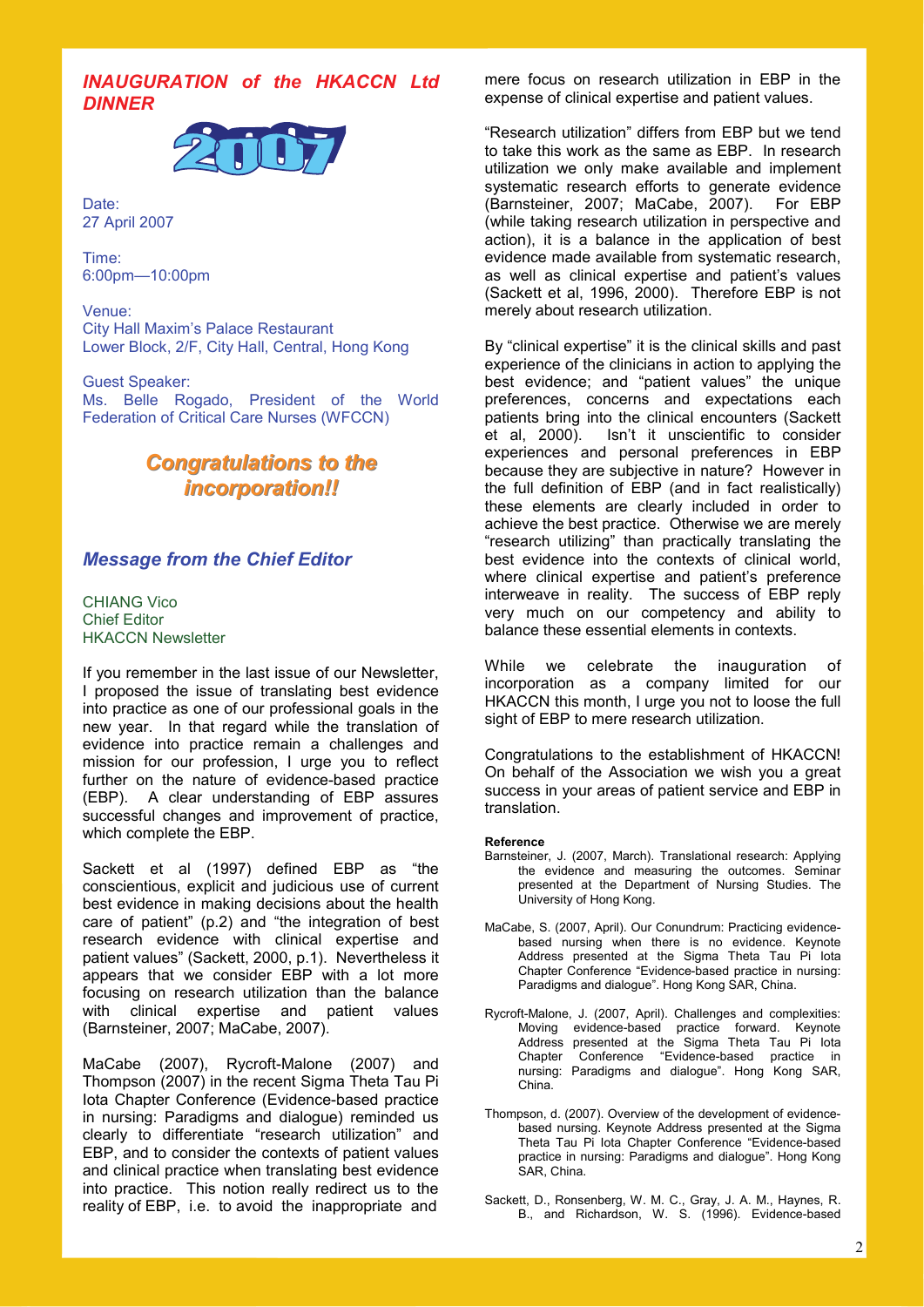## *INAUGURATION of the HKACCN Ltd DINNER*



Date: 27 April 2007

Time: 6:00pm—10:00pm

Venue: City Hall Maxim's Palace Restaurant Lower Block, 2/F, City Hall, Central, Hong Kong

Guest Speaker: Ms. Belle Rogado, President of the World Federation of Critical Care Nurses (WFCCN)

## *Congratulations to the Congratulations to the incorporation!! incorporation!!*

## *Message from the Chief Editor*

CHIANG Vico Chief Editor HKACCN Newsletter

If you remember in the last issue of our Newsletter, I proposed the issue of translating best evidence into practice as one of our professional goals in the new year. In that regard while the translation of evidence into practice remain a challenges and mission for our profession. I urge you to reflect further on the nature of evidence-based practice (EBP). A clear understanding of EBP assures successful changes and improvement of practice, which complete the EBP.

Sackett et al (1997) defined EBP as "the conscientious, explicit and judicious use of current best evidence in making decisions about the health care of patient" (p.2) and "the integration of best research evidence with clinical expertise and patient values" (Sackett, 2000, p.1). Nevertheless it appears that we consider EBP with a lot more focusing on research utilization than the balance with clinical expertise and patient values (Barnsteiner, 2007; MaCabe, 2007).

MaCabe (2007), Rycroft-Malone (2007) and Thompson (2007) in the recent Sigma Theta Tau Pi Iota Chapter Conference (Evidence-based practice in nursing: Paradigms and dialogue) reminded us clearly to differentiate "research utilization" and EBP, and to consider the contexts of patient values and clinical practice when translating best evidence into practice. This notion really redirect us to the reality of EBP, i.e. to avoid the inappropriate and

mere focus on research utilization in EBP in the expense of clinical expertise and patient values.

"Research utilization" differs from EBP but we tend to take this work as the same as EBP. In research utilization we only make available and implement systematic research efforts to generate evidence (Barnsteiner, 2007; MaCabe, 2007). For EBP (while taking research utilization in perspective and action), it is a balance in the application of best evidence made available from systematic research, as well as clinical expertise and patient's values (Sackett et al, 1996, 2000). Therefore EBP is not merely about research utilization.

By "clinical expertise" it is the clinical skills and past experience of the clinicians in action to applying the best evidence; and "patient values" the unique preferences, concerns and expectations each patients bring into the clinical encounters (Sackett et al, 2000). Isn't it unscientific to consider experiences and personal preferences in EBP because they are subjective in nature? However in the full definition of EBP (and in fact realistically) these elements are clearly included in order to achieve the best practice. Otherwise we are merely "research utilizing" than practically translating the best evidence into the contexts of clinical world, where clinical expertise and patient's preference interweave in reality. The success of EBP reply very much on our competency and ability to balance these essential elements in contexts.

While we celebrate the inauguration of incorporation as a company limited for our HKACCN this month, I urge you not to loose the full sight of EBP to mere research utilization.

Congratulations to the establishment of HKACCN! On behalf of the Association we wish you a great success in your areas of patient service and EBP in translation.

**Reference** 

- Barnsteiner, J. (2007, March). Translational research: Applying the evidence and measuring the outcomes. Seminar presented at the Department of Nursing Studies. The University of Hong Kong.
- MaCabe, S. (2007, April). Our Conundrum: Practicing evidence based nursing when there is no evidence. Keynote Address presented at the Sigma Theta Tau Pi Iota Chapter Conference "Evidence-based practice in nursing: Paradigms and dialogue". Hong Kong SAR, China.
- Rycroft-Malone, J. (2007, April). Challenges and complexities: Moving evidence-based practice forward. Keynote Address presented at the Sigma Theta Tau Pi Iota Chapter Conference "Evidence-based practice in nursing: Paradigms and dialogue". Hong Kong SAR, China.
- Thompson, d. (2007). Overview of the development of evidence based nursing. Keynote Address presented at the Sigma Theta Tau Pi Iota Chapter Conference "Evidence-based practice in nursing: Paradigms and dialogue". Hong Kong SAR, China.
- Sackett, D., Ronsenberg, W. M. C., Gray, J. A. M., Haynes, R. B., and Richardson, W. S. (1996). Evidence-based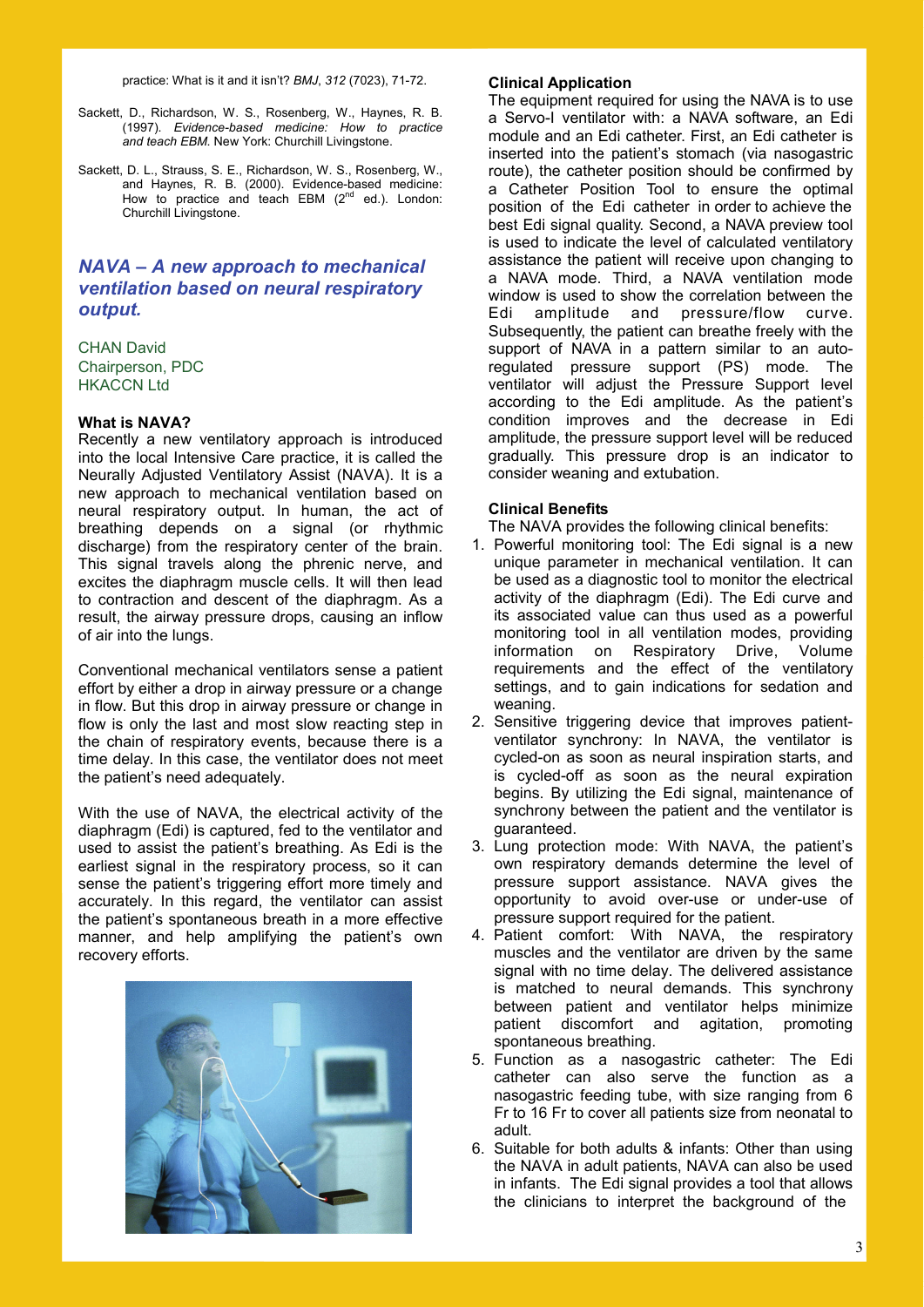practice: What is it and it isn't? *BMJ*, *312* (7023), 71-72.

- Sackett, D., Richardson, W. S., Rosenberg, W., Haynes, R. B. (1997). *Evidence-based medicine: How to practice and teach EBM*. New York: Churchill Livingstone.
- Sackett, D. L., Strauss, S. E., Richardson, W. S., Rosenberg, W., and Haynes, R. B. (2000). Evidence-based medicine: How to practice and teach EBM  $(2^{nd}$  ed.). London: Churchill Livingstone.

## *NAVA – A new approach to mechanical ventilation based on neural respiratory output.*

CHAN David Chairperson, PDC HKACCN Ltd

### **What is NAVA?**

Recently a new ventilatory approach is introduced into the local Intensive Care practice, it is called the Neurally Adjusted Ventilatory Assist (NAVA). It is a new approach to mechanical ventilation based on neural respiratory output. In human, the act of breathing depends on a signal (or rhythmic discharge) from the respiratory center of the brain. This signal travels along the phrenic nerve, and excites the diaphragm muscle cells. It will then lead to contraction and descent of the diaphragm. As a result, the airway pressure drops, causing an inflow of air into the lungs.

Conventional mechanical ventilators sense a patient effort by either a drop in airway pressure or a change in flow. But this drop in airway pressure or change in flow is only the last and most slow reacting step in the chain of respiratory events, because there is a time delay. In this case, the ventilator does not meet the patient's need adequately.

With the use of NAVA, the electrical activity of the diaphragm (Edi) is captured, fed to the ventilator and used to assist the patient's breathing. As Edi is the earliest signal in the respiratory process, so it can sense the patient's triggering effort more timely and accurately. In this regard, the ventilator can assist the patient's spontaneous breath in a more effective manner, and help amplifying the patient's own recovery efforts.



#### **Clinical Application**

The equipment required for using the NAVA is to use a Servo-I ventilator with: a NAVA software, an Edi module and an Edi catheter. First, an Edi catheter is inserted into the patient's stomach (via nasogastric route), the catheter position should be confirmed by a Catheter Position Tool to ensure the optimal position of the Edi catheter in order to achieve the best Edi signal quality. Second, a NAVA preview tool is used to indicate the level of calculated ventilatory assistance the patient will receive upon changing to a NAVA mode. Third, a NAVA ventilation mode window is used to show the correlation between the Edi amplitude and pressure/flow curve. Subsequently, the patient can breathe freely with the support of NAVA in a pattern similar to an autoregulated pressure support (PS) mode. The ventilator will adjust the Pressure Support level according to the Edi amplitude. As the patient's condition improves and the decrease in Edi amplitude, the pressure support level will be reduced gradually. This pressure drop is an indicator to consider weaning and extubation.

#### **Clinical Benefits**

The NAVA provides the following clinical benefits:

- 1. Powerful monitoring tool: The Edi signal is a new unique parameter in mechanical ventilation. It can be used as a diagnostic tool to monitor the electrical activity of the diaphragm (Edi). The Edi curve and its associated value can thus used as a powerful monitoring tool in all ventilation modes, providing information on Respiratory Drive, Volume requirements and the effect of the ventilatory settings, and to gain indications for sedation and weaning.
- 2. Sensitive triggering device that improves patientventilator synchrony: In NAVA, the ventilator is cycled-on as soon as neural inspiration starts, and is cycled-off as soon as the neural expiration begins. By utilizing the Edi signal, maintenance of synchrony between the patient and the ventilator is guaranteed.
- 3. Lung protection mode: With NAVA, the patient's own respiratory demands determine the level of pressure support assistance. NAVA gives the opportunity to avoid over-use or under-use of pressure support required for the patient.
- 4. Patient comfort: With NAVA, the respiratory muscles and the ventilator are driven by the same signal with no time delay. The delivered assistance is matched to neural demands. This synchrony between patient and ventilator helps minimize patient discomfort and agitation, promoting spontaneous breathing.
- 5. Function as a nasogastric catheter: The Edi catheter can also serve the function as a nasogastric feeding tube, with size ranging from 6 Fr to 16 Fr to cover all patients size from neonatal to adult.
- 6. Suitable for both adults & infants: Other than using the NAVA in adult patients, NAVA can also be used in infants. The Edi signal provides a tool that allows the clinicians to interpret the background of the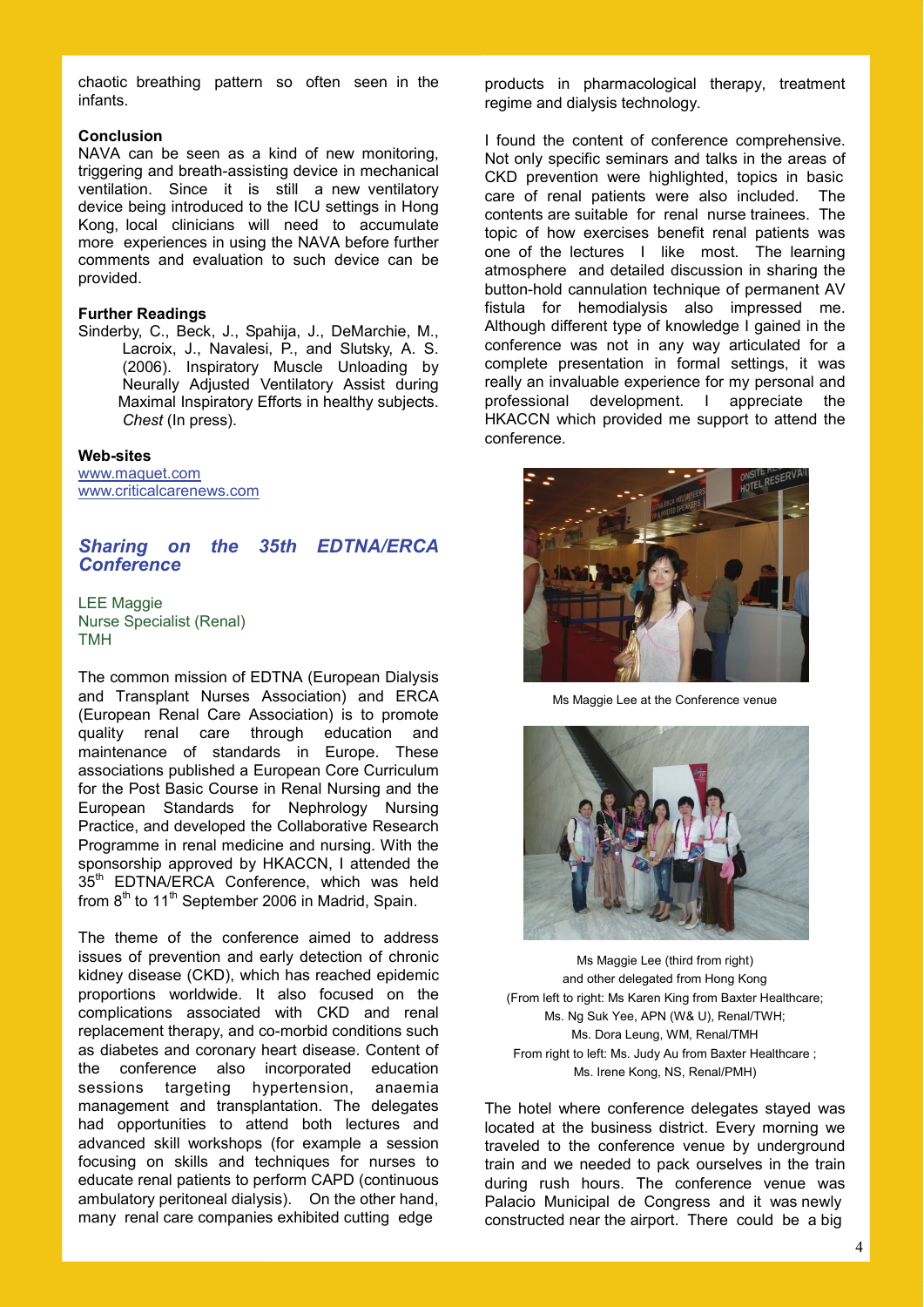chaotic breathing pattern so often seen in the infants.

#### **Conclusion**

NAVA can be seen as a kind of new monitoring, triggering and breath-assisting device in mechanical ventilation. Since it is still a new ventilatory device being introduced to the ICU settings in Hong Kong, local clinicians will need to accumulate more experiences in using the NAVA before further comments and evaluation to such device can be provided.

#### **Further Readings**

Sinderby, C., Beck, J., Spahija, J., DeMarchie, M., Lacroix, J., Navalesi, P., and Slutsky, A. S. (2006). Inspiratory Muscle Unloading by Neurally Adjusted Ventilatory Assist during Maximal Inspiratory Efforts in healthy subjects. *Chest* (In press).

#### **Web-sites**

www.maquet.com www.criticalcarenews.com

#### *Sharing on the 35th EDTNA/ERCA Conference*

LEE Maggie Nurse Specialist (Renal) TMH

The common mission of EDTNA (European Dialysis and Transplant Nurses Association) and ERCA (European Renal Care Association) is to promote quality renal care through education and maintenance of standards in Europe. These associations published a European Core Curriculum for the Post Basic Course in Renal Nursing and the European Standards for Nephrology Nursing Practice, and developed the Collaborative Research Programme in renal medicine and nursing. With the sponsorship approved by HKACCN, I attended the 35<sup>th</sup> EDTNA/ERCA Conference, which was held from  $8<sup>th</sup>$  to 11<sup>th</sup> September 2006 in Madrid, Spain.

The theme of the conference aimed to address issues of prevention and early detection of chronic kidney disease (CKD), which has reached epidemic proportions worldwide. It also focused on the complications associated with CKD and renal replacement therapy, and co-morbid conditions such as diabetes and coronary heart disease. Content of the conference also incorporated education sessions targeting hypertension, anaemia management and transplantation. The delegates had opportunities to attend both lectures and advanced skill workshops (for example a session focusing on skills and techniques for nurses to educate renal patients to perform CAPD (continuous ambulatory peritoneal dialysis). On the other hand, many renal care companies exhibited cutting edge

products in pharmacological therapy, treatment regime and dialysis technology.

I found the content of conference comprehensive. Not only specific seminars and talks in the areas of CKD prevention were highlighted, topics in basic care of renal patients were also included. The contents are suitable for renal nurse trainees. The topic of how exercises benefit renal patients was one of the lectures I like most. The learning atmosphere and detailed discussion in sharing the button-hold cannulation technique of permanent AV fistula for hemodialysis also impressed me. Although different type of knowledge I gained in the conference was not in any way articulated for a complete presentation in formal settings, it was really an invaluable experience for my personal and professional development. I appreciate the HKACCN which provided me support to attend the conference.



Ms Maggie Lee at the Conference venue



Ms Maggie Lee (third from right) and other delegated from Hong Kong (From left to right: Ms Karen King from Baxter Healthcare; Ms. Ng Suk Yee, APN (W& U), Renal/TWH; Ms. Dora Leung, WM, Renal/TMH From right to left: Ms. Judy Au from Baxter Healthcare ; Ms. Irene Kong, NS, Renal/PMH)

The hotel where conference delegates stayed was located at the business district. Every morning we traveled to the conference venue by underground train and we needed to pack ourselves in the train during rush hours. The conference venue was Palacio Municipal de Congress and it was newly constructed near the airport. There could be a big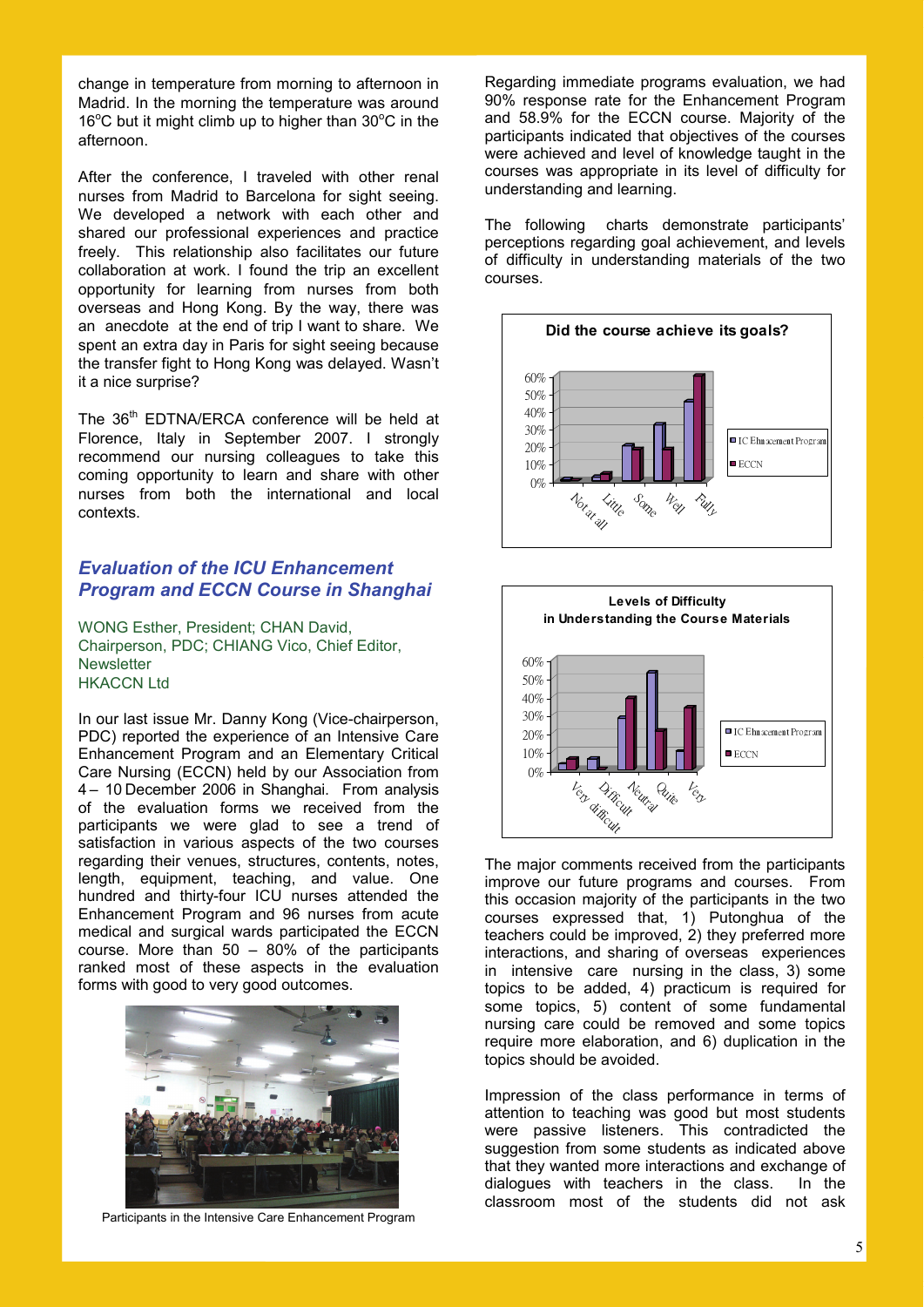change in temperature from morning to afternoon in Madrid. In the morning the temperature was around 16°C but it might climb up to higher than 30°C in the afternoon.

After the conference, I traveled with other renal nurses from Madrid to Barcelona for sight seeing. We developed a network with each other and shared our professional experiences and practice freely. This relationship also facilitates our future collaboration at work. I found the trip an excellent opportunity for learning from nurses from both overseas and Hong Kong. By the way, there was an anecdote at the end of trip I want to share. We spent an extra day in Paris for sight seeing because the transfer fight to Hong Kong was delayed. Wasn't it a nice surprise?

The 36<sup>th</sup> EDTNA/ERCA conference will be held at Florence, Italy in September 2007. I strongly recommend our nursing colleagues to take this coming opportunity to learn and share with other nurses from both the international and local contexts.

### *Evaluation of the ICU Enhancement Program and ECCN Course in Shanghai*

WONG Esther, President; CHAN David, Chairperson, PDC; CHIANG Vico, Chief Editor, **Newsletter** HKACCN Ltd

In our last issue Mr. Danny Kong (Vice-chairperson, PDC) reported the experience of an Intensive Care Enhancement Program and an Elementary Critical Care Nursing (ECCN) held by our Association from 4 – 10 December 2006 in Shanghai. From analysis of the evaluation forms we received from the participants we were glad to see a trend of satisfaction in various aspects of the two courses regarding their venues, structures, contents, notes, length, equipment, teaching, and value. One hundred and thirty-four ICU nurses attended the Enhancement Program and 96 nurses from acute medical and surgical wards participated the ECCN course. More than 50 – 80% of the participants ranked most of these aspects in the evaluation forms with good to very good outcomes.



Participants in the Intensive Care Enhancement Program

Regarding immediate programs evaluation, we had 90% response rate for the Enhancement Program and 58.9% for the ECCN course. Majority of the participants indicated that objectives of the courses were achieved and level of knowledge taught in the courses was appropriate in its level of difficulty for understanding and learning.

The following charts demonstrate participants' perceptions regarding goal achievement, and levels of difficulty in understanding materials of the two courses.





The major comments received from the participants improve our future programs and courses. From this occasion majority of the participants in the two courses expressed that, 1) Putonghua of the teachers could be improved, 2) they preferred more interactions, and sharing of overseas experiences in intensive care nursing in the class, 3) some topics to be added, 4) practicum is required for some topics, 5) content of some fundamental nursing care could be removed and some topics require more elaboration, and 6) duplication in the topics should be avoided.

Impression of the class performance in terms of attention to teaching was good but most students were passive listeners. This contradicted the suggestion from some students as indicated above that they wanted more interactions and exchange of dialogues with teachers in the class. In the classroom most of the students did not ask